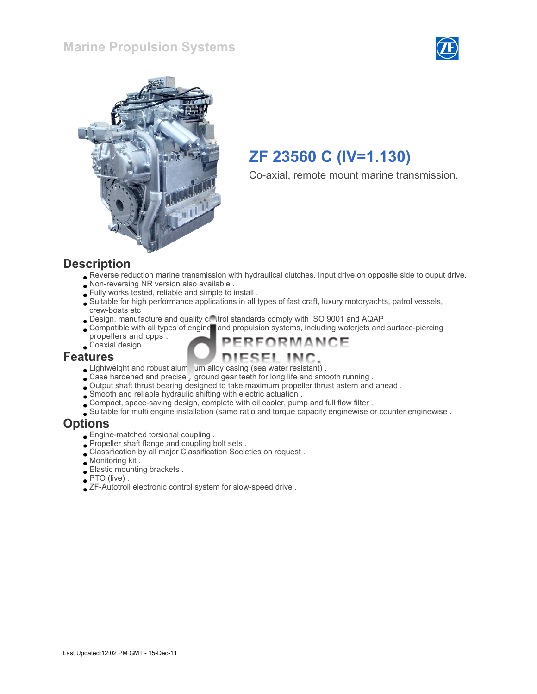### Marine Propulsion Systems





# ZF 23560 C (IV=1.130)

Co-axial, remote mount marine transmission.

#### **Description**

Reverse reduction marine transmission with hydraulical clutches. Input drive on opposite side to ouput drive.

FORMANCE

- Non-reversing NR version also available .
- Fully works tested, reliable and simple to install .
- Suitable for high performance applications in all types of fast craft, luxury motoryachts, patrol vessels, crew-boats etc .
- . Design, manufacture and quality control standards comply with ISO 9001 and AQAP.
- Compatible with all types of engine and propulsion systems, including waterjets and surface-piercing
- propellers and cpps . Coaxial design .

#### Features

- Lightweight and robust alum um alloy casing (sea water resistant).
- Case hardened and precisel, ground gear teeth for long life and smooth running.
- Output shaft thrust bearing designed to take maximum propeller thrust astern and ahead .
- Smooth and reliable hydraulic shifting with electric actuation .
- Compact, space-saving design, complete with oil cooler, pump and full flow filter .
- Suitable for multi engine installation (same ratio and torque capacity enginewise or counter enginewise .

#### **Options**

- Engine-matched torsional coupling .
- Propeller shaft flange and coupling bolt sets .
- Classification by all major Classification Societies on request .
- Monitoring kit .
- Elastic mounting brackets .
- PTO (live) .
- ZF-Autotroll electronic control system for slow-speed drive .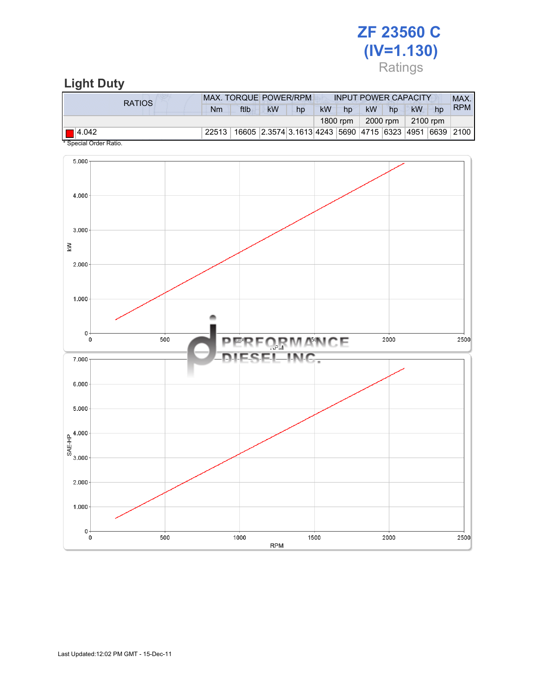# ZF 23560 C (IV=1.130) Ratings

# Light Duty

| RATIOS.      | MAX. TORQUE POWER/RPM |                                                                  |           |    | <b>INPUT POWER CAPACITY</b> |          |           |                      |          |    | MAX.       |
|--------------|-----------------------|------------------------------------------------------------------|-----------|----|-----------------------------|----------|-----------|----------------------|----------|----|------------|
|              | Nm                    | ftlb                                                             | <b>kW</b> | hp | <b>kW</b>                   | hp       | <b>kW</b> | hp                   | kW       | hp | <b>RPM</b> |
|              |                       |                                                                  |           |    |                             | 1800 rpm |           | 2000 rpm $\parallel$ | 2100 rpm |    |            |
| $\Box$ 4.042 | 22513                 | 16605  2.3574  3.1613  4243  5690  4715  6323  4951  6639   2100 |           |    |                             |          |           |                      |          |    |            |

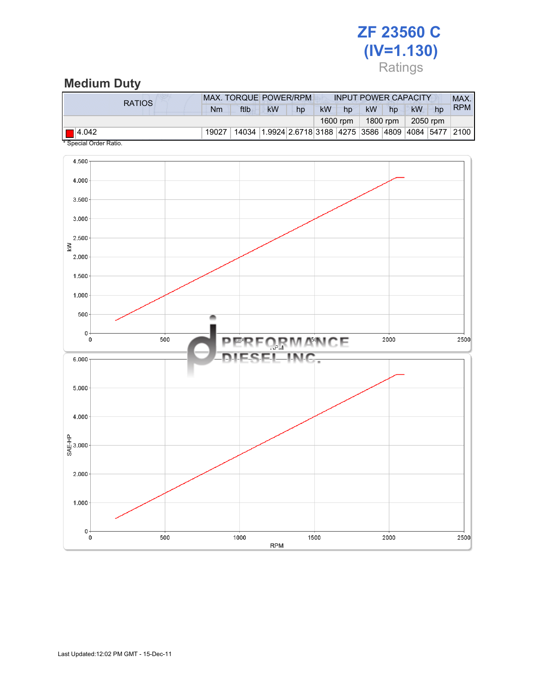# ZF 23560 C (IV=1.130) Ratings

### Medium Duty

| RATIOS                                   | MAX. TORQUE POWER/RPM |                                                        | <b>INPUT POWER CAPACITY</b> | MAX.            |          |            |
|------------------------------------------|-----------------------|--------------------------------------------------------|-----------------------------|-----------------|----------|------------|
|                                          | ftlb<br>Nm            | <b>kW</b><br>hp                                        | <b>kW</b><br>hp             | <b>kW</b><br>hp | kW<br>hp | <b>RPM</b> |
|                                          | 1600 rpm              | 1800 rpm                                               | 2050 rpm                    |                 |          |            |
| $\Box$ 4.042<br>$\overline{\phantom{a}}$ | 19027                 | 14034 1.9924 2.6718 3188 4275 3586 4809 4084 5477 2100 |                             |                 |          |            |

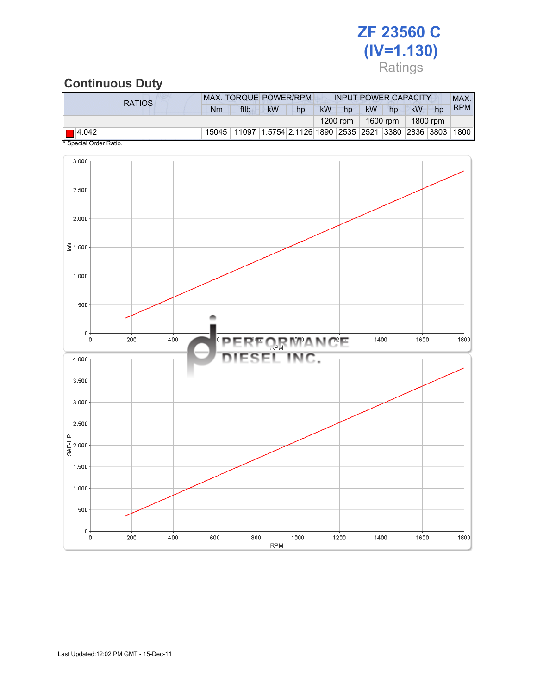# ZF 23560 C (IV=1.130) Ratings

### Continuous Duty

| <b>RATIOS</b><br>Nm   |                                                                   |    |           |          |           |    |           |    |            |
|-----------------------|-------------------------------------------------------------------|----|-----------|----------|-----------|----|-----------|----|------------|
|                       | ftlb<br><b>kW</b>                                                 | hp | <b>kW</b> | hp       | <b>kW</b> | hp | <b>kW</b> | hp | <b>RPM</b> |
|                       | $1200$ rpm                                                        |    |           | 1600 rpm | 1800 rpm  |    |           |    |            |
| 15045<br>$\Box$ 4.042 | 11097   1.5754   2.1126   1890   2535   2521   3380   2836   3803 |    |           |          |           |    |           |    | 1800       |

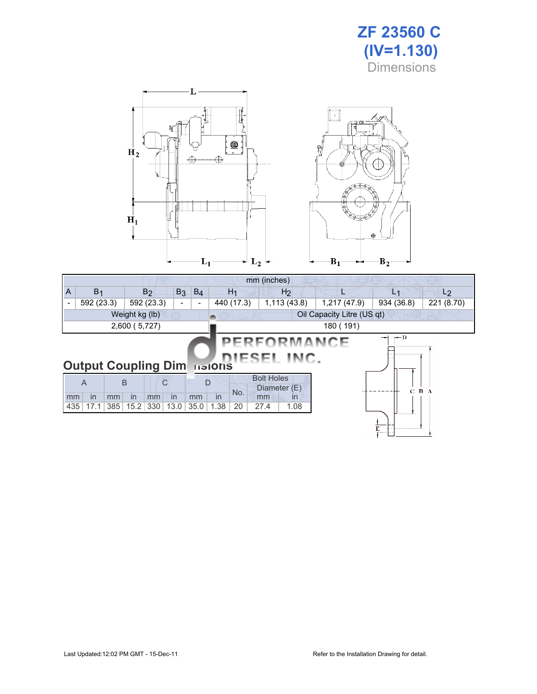



| mm (inches)                                                                            |                                                                                                  |             |      |      |                |                    |              |                |                |  |  |  |
|----------------------------------------------------------------------------------------|--------------------------------------------------------------------------------------------------|-------------|------|------|----------------|--------------------|--------------|----------------|----------------|--|--|--|
| $B_3$ $B_4$<br>B <sub>1</sub><br>A<br>B <sub>2</sub>                                   |                                                                                                  |             |      |      | H <sub>1</sub> | H <sub>2</sub>     |              | L <sub>1</sub> | L <sub>2</sub> |  |  |  |
| $\overline{\phantom{a}}$                                                               | 592 (23.3)                                                                                       | 592 (23.3)  |      | Ξ.   | 440 (17.3)     | 1,113(43.8)        | 1,217 (47.9) | 934 (36.8)     | 221 (8.70)     |  |  |  |
| Weight kg (lb)<br>Oil Capacity Litre (US qt)                                           |                                                                                                  |             |      |      |                |                    |              |                |                |  |  |  |
|                                                                                        | 2,600 (5,727)<br>180 (191)                                                                       |             |      |      |                |                    |              |                |                |  |  |  |
| $\leftarrow$ D<br>—<br>PERFORMANCE<br>DIESEL INC.<br><b>Output Coupling Dimensions</b> |                                                                                                  |             |      |      |                |                    |              |                |                |  |  |  |
|                                                                                        | <b>Bolt Holes</b><br>B<br>C<br>D<br>$\overline{A}$<br>Diameter (E)<br>B A<br>$\mathbf{C}$<br>No. |             |      |      |                |                    |              |                |                |  |  |  |
| mm                                                                                     | in<br>mm                                                                                         | in<br>mm    | in   | mm   | in             | $\mathsf{I}$<br>mm |              |                |                |  |  |  |
| 435                                                                                    | 17.1<br>385                                                                                      | 15.2<br>330 | 13.0 | 35.0 | 1.38<br>20     | 1.08<br>27.4       |              |                |                |  |  |  |
|                                                                                        |                                                                                                  |             |      |      |                |                    |              | E              |                |  |  |  |